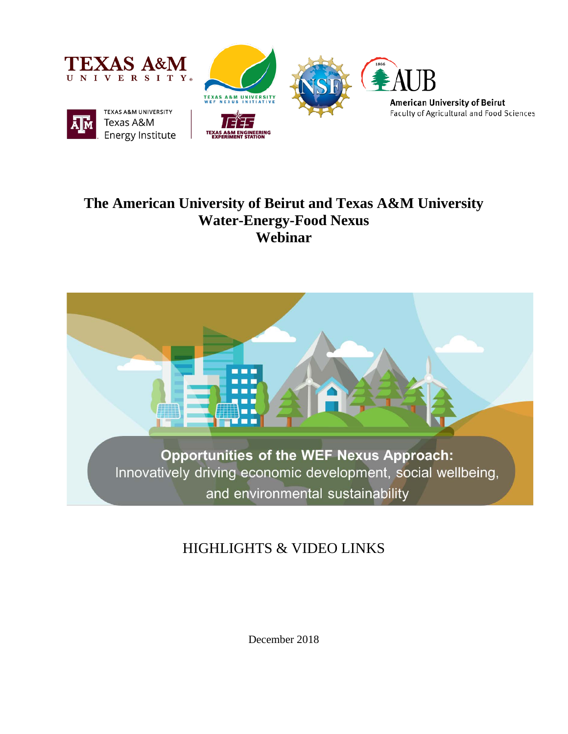





## **The American University of Beirut and Texas A&M University Water-Energy-Food Nexus Webinar**



# HIGHLIGHTS & VIDEO LINKS

December 2018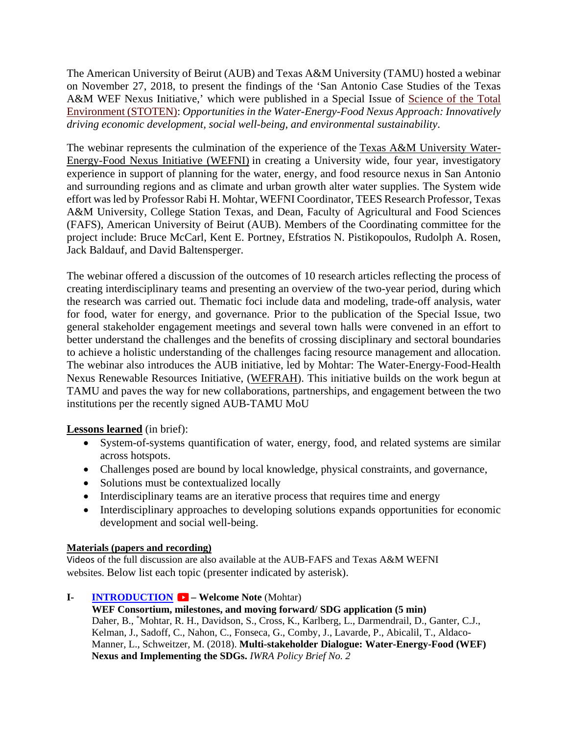The American University of Beirut (AUB) and Texas A&M University (TAMU) hosted a webinar on November 27, 2018, to present the findings of the 'San Antonio Case Studies of the Texas A&M WEF Nexus Initiative,' which were published in a Special Issue of [Science of the Total](https://emea01.safelinks.protection.outlook.com/?url=https%3A%2F%2Furldefense.proofpoint.com%2Fv2%2Furl%3Fu%3Dhttp-3A__r20.rs6.net_tn.jsp-3Ff-3D001VJ-2DkAYVFthwNDhfsy4Ek6g15HjQ6OVV4o81XGDW3SPaca1c-5FNLNT5Ph6ZaLi9pvIJ6BnPJ4jZyfsTcMpwLRhlNPMJ-2DRTnr818T0LFIWBpgeh8S3Pvn4Qj6mSgU5BT-5F-2DKpZLXKYz1uPqxG-2DIlTKg2fJ2W5cMEbKcZwMxn63faxvl96dzP9ISCsLQjOzpvyv-2DLlgopK2XNORYkbIM8SHg9xKPhW47AOs8rIxLsNzO4k5lvqT1TlvFdWA-3D-3D-26c-3D2Im3g19pc9TTXX8QPdj2g53um1dYvTWCOVf5VyjeCv521B0AmMt9qw-3D-3D-26ch-3DK6doltLFAs17llk6ICiGVWWJf2J5KRp9Tg6MpF0ggJjIeqseeEdNhA-3D-3D%26d%3DDwMFaQ%26c%3DODFT-G5SujMiGrKuoJJjVg%26r%3DRhlQtwZafHAAHRqzBWJrgw%26m%3DyqCDEuI01bEd2rqt8iU_8CYnmFID-57DvYTX6ln2bAY%26s%3DQIUc76Od37OwcOaMjuvwDDSvpKKhzCIysR5kwX-P4i0%26e%3D&data=02%7C01%7Cse47%40aub.edu.lb%7Ca013bddd9d4947964d5008d64b9e6320%7Cc7ba5b1a41b643e9a1206ff654ada137%7C1%7C0%7C636779540982845615&sdata=5cCIiRstQMvjvAGo8I1r5xlyWwAj7lFSkywpY%2FJ%2BXbg%3D&reserved=0)  [Environment \(STOTEN\):](https://emea01.safelinks.protection.outlook.com/?url=https%3A%2F%2Furldefense.proofpoint.com%2Fv2%2Furl%3Fu%3Dhttp-3A__r20.rs6.net_tn.jsp-3Ff-3D001VJ-2DkAYVFthwNDhfsy4Ek6g15HjQ6OVV4o81XGDW3SPaca1c-5FNLNT5Ph6ZaLi9pvIJ6BnPJ4jZyfsTcMpwLRhlNPMJ-2DRTnr818T0LFIWBpgeh8S3Pvn4Qj6mSgU5BT-5F-2DKpZLXKYz1uPqxG-2DIlTKg2fJ2W5cMEbKcZwMxn63faxvl96dzP9ISCsLQjOzpvyv-2DLlgopK2XNORYkbIM8SHg9xKPhW47AOs8rIxLsNzO4k5lvqT1TlvFdWA-3D-3D-26c-3D2Im3g19pc9TTXX8QPdj2g53um1dYvTWCOVf5VyjeCv521B0AmMt9qw-3D-3D-26ch-3DK6doltLFAs17llk6ICiGVWWJf2J5KRp9Tg6MpF0ggJjIeqseeEdNhA-3D-3D%26d%3DDwMFaQ%26c%3DODFT-G5SujMiGrKuoJJjVg%26r%3DRhlQtwZafHAAHRqzBWJrgw%26m%3DyqCDEuI01bEd2rqt8iU_8CYnmFID-57DvYTX6ln2bAY%26s%3DQIUc76Od37OwcOaMjuvwDDSvpKKhzCIysR5kwX-P4i0%26e%3D&data=02%7C01%7Cse47%40aub.edu.lb%7Ca013bddd9d4947964d5008d64b9e6320%7Cc7ba5b1a41b643e9a1206ff654ada137%7C1%7C0%7C636779540982845615&sdata=5cCIiRstQMvjvAGo8I1r5xlyWwAj7lFSkywpY%2FJ%2BXbg%3D&reserved=0) *Opportunities in the Water-Energy-Food Nexus Approach: Innovatively driving economic development, social well-being, and environmental sustainability*.

The webinar represents the culmination of the experience of the [Texas A&M University Water-](https://wefnexusinitiative.tamu.edu/)[Energy-Food Nexus Initiative \(WEFNI\)](https://wefnexusinitiative.tamu.edu/) in creating a University wide, four year, investigatory experience in support of planning for the water, energy, and food resource nexus in San Antonio and surrounding regions and as climate and urban growth alter water supplies. The System wide effort was led by Professor Rabi H. Mohtar, WEFNI Coordinator, TEES Research Professor, Texas A&M University, College Station Texas, and Dean, Faculty of Agricultural and Food Sciences (FAFS), American University of Beirut (AUB). Members of the Coordinating committee for the project include: Bruce McCarl, Kent E. Portney, Efstratios N. Pistikopoulos, Rudolph A. Rosen, Jack Baldauf, and David Baltensperger.

The webinar offered a discussion of the outcomes of 10 research articles reflecting the process of creating interdisciplinary teams and presenting an overview of the two-year period, during which the research was carried out. Thematic foci include data and modeling, trade-off analysis, water for food, water for energy, and governance. Prior to the publication of the Special Issue, two general stakeholder engagement meetings and several town halls were convened in an effort to better understand the challenges and the benefits of crossing disciplinary and sectoral boundaries to achieve a holistic understanding of the challenges facing resource management and allocation. The webinar also introduces the AUB initiative, led by Mohtar: The Water-Energy-Food-Health Nexus Renewable Resources Initiative, [\(WEFRAH\)](https://www.aub.edu.lb/fafs/WEFRAH/Pages/default.aspx). This initiative builds on the work begun at TAMU and paves the way for new collaborations, partnerships, and engagement between the two institutions per the recently signed AUB-TAMU MoU

## **Lessons learned** (in brief):

- System-of-systems quantification of water, energy, food, and related systems are similar across hotspots.
- Challenges posed are bound by local knowledge, physical constraints, and governance,
- Solutions must be contextualized locally
- Interdisciplinary teams are an iterative process that requires time and energy
- Interdisciplinary approaches to developing solutions expands opportunities for economic development and social well-being.

## **Materials (papers and recording)**

Videos of the full discussion are also available at the AUB-FAFS and Texas A&M WEFNI websites. Below list each topic (presenter indicated by asterisk).

**I- [INTRODUCTION](https://youtu.be/eZiYq4IbQuc) – Welcome Note** (Mohtar)

**WEF Consortium, milestones, and moving forward/ SDG application (5 min)**  Daher, B., \* Mohtar, R. H., Davidson, S., Cross, K., Karlberg, L., Darmendrail, D., Ganter, C.J., Kelman, J., Sadoff, C., Nahon, C., Fonseca, G., Comby, J., Lavarde, P., Abicalil, T., Aldaco-Manner, L., Schweitzer, M. (2018). **Multi-stakeholder Dialogue: Water-Energy-Food (WEF) Nexus and Implementing the SDGs.** *IWRA Policy Brief No. 2*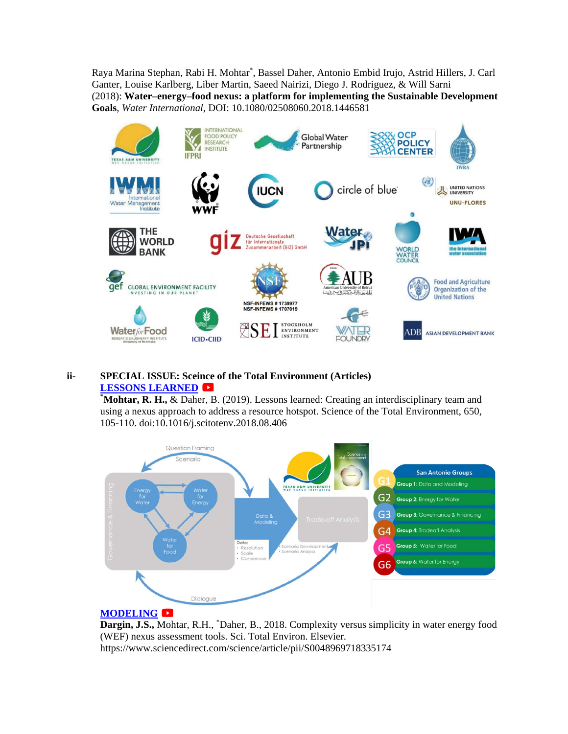Raya Marina Stephan, Rabi H. Mohtar\* , Bassel Daher, Antonio Embid Irujo, Astrid Hillers, J. Carl Ganter, Louise Karlberg, Liber Martin, Saeed Nairizi, Diego J. Rodriguez, & Will Sarni (2018): **Water–energy–food nexus: a platform for implementing the Sustainable Development Goals**, *Water International,* DOI: 10.1080/02508060.2018.1446581



#### **ii- SPECIAL ISSUE: Sceince of the Total Environment (Articles) [LESSONS LEARNED](https://youtu.be/rsvYPpjSNhg)**

\* **Mohtar, R. H.,** & Daher, B. (2019). Lessons learned: Creating an interdisciplinary team and using a nexus approach to address a resource hotspot. Science of the Total Environment, 650, 105-110. doi:10.1016/j.scitotenv.2018.08.406



## **[MODELING](https://youtu.be/nxE3YQYDLnY)**

Dargin, J.S., Mohtar, R.H., <sup>\*</sup>Daher, B., 2018. Complexity versus simplicity in water energy food (WEF) nexus assessment tools. Sci. Total Environ. Elsevier. https://www.sciencedirect.com/science/article/pii/S0048969718335174